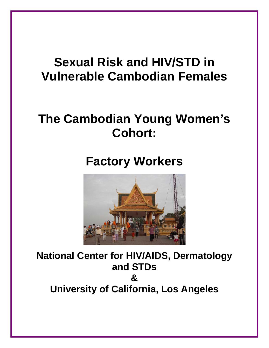# **Sexual Risk and HIV/STD in Vulnerable Cambodian Females**

# **The Cambodian Young Women's Cohort:**

# **Factory Workers**



**National Center for HIV/AIDS, Dermatology and STDs & University of California, Los Angeles**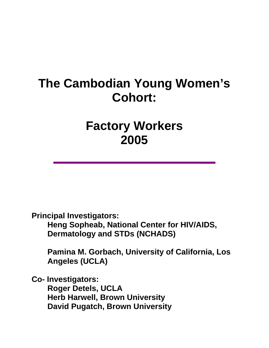# **The Cambodian Young Women's Cohort:**

## **Factory Workers 2005**

**Principal Investigators:** 

**Heng Sopheab, National Center for HIV/AIDS, Dermatology and STDs (NCHADS)** 

**Pamina M. Gorbach, University of California, Los Angeles (UCLA)** 

**Co- Investigators: Roger Detels, UCLA Herb Harwell, Brown University David Pugatch, Brown University**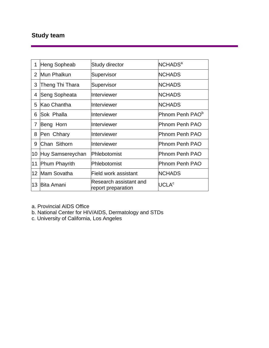## **Study team**

| 1               | Heng Sopheab         | <b>Study director</b>                        | <b>NCHADS<sup>a</sup></b>   |
|-----------------|----------------------|----------------------------------------------|-----------------------------|
| $\overline{2}$  | Mun Phalkun          | Supervisor                                   | <b>NCHADS</b>               |
| 3               | Theng Thi Thara      | Supervisor                                   | <b>NCHADS</b>               |
| 4               | Seng Sopheata        | Interviewer                                  | <b>NCHADS</b>               |
| 5               | Kao Chantha          | Interviewer                                  | <b>NCHADS</b>               |
| 6               | <b>Sok Phalla</b>    | Interviewer                                  | Phnom Penh PAO <sup>b</sup> |
| 7               | Beng Horn            | Interviewer                                  | <b>Phnom Penh PAO</b>       |
| 8               | Pen Chhary           | Interviewer                                  | Phnom Penh PAO              |
| 9               | Chan Sithorn         | Interviewer                                  | Phnom Penh PAO              |
| 10              | Huy Samsereychan     | Phlebotomist                                 | Phnom Penh PAO              |
| 11              | <b>Phum Phayrith</b> | Phlebotomist                                 | <b>Phnom Penh PAO</b>       |
| 12 <sup>°</sup> | Mam Sovatha          | Field work assistant                         | <b>NCHADS</b>               |
| 13              | <b>Bita Amani</b>    | Research assistant and<br>report preparation | $\mathsf{UCLA}^\mathsf{c}$  |

a. Provincial AIDS Office

b. National Center for HIV/AIDS, Dermatology and STDs

c. University of California, Los Angeles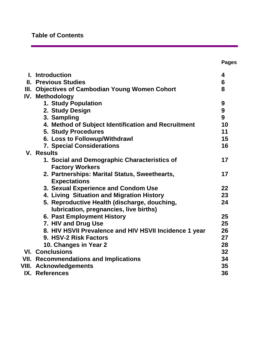## **Table of Contents**

|                                                                               | <b>Pages</b>    |
|-------------------------------------------------------------------------------|-----------------|
| I. Introduction                                                               | 4               |
| <b>II. Previous Studies</b>                                                   | $6\phantom{1}6$ |
| III. Objectives of Cambodian Young Women Cohort                               | 8               |
| IV. Methodology                                                               |                 |
| 1. Study Population                                                           | 9               |
| 2. Study Design                                                               | 9               |
| 3. Sampling                                                                   | 9               |
| 4. Method of Subject Identification and Recruitment                           | 10              |
| <b>5. Study Procedures</b>                                                    | 11              |
| 6. Loss to Followup/Withdrawl                                                 | 15              |
| <b>7. Special Considerations</b>                                              | 16              |
| <b>V. Results</b>                                                             |                 |
| 1. Social and Demographic Characteristics of<br><b>Factory Workers</b>        | 17              |
| 2. Partnerships: Marital Status, Sweethearts,<br><b>Expectations</b>          | 17              |
| 3. Sexual Experience and Condom Use                                           | 22              |
| 4. Living Situation and Migration History                                     | 23              |
| 5. Reproductive Health (discharge, douching,                                  | 24              |
| lubrication, pregnancies, live births)                                        | 25              |
| <b>6. Past Employment History</b>                                             | 25              |
| 7. HIV and Drug Use<br>8. HIV HSVII Prevalence and HIV HSVII Incidence 1 year | 26              |
| 9. HSV-2 Risk Factors                                                         | 27              |
| 10. Changes in Year 2                                                         | 28              |
| <b>VI. Conclusions</b>                                                        | 32              |
| <b>VII. Recommendations and Implications</b>                                  | 34              |
| <b>VIII. Acknowledgements</b>                                                 | 35              |
| IX. References                                                                | 36              |
|                                                                               |                 |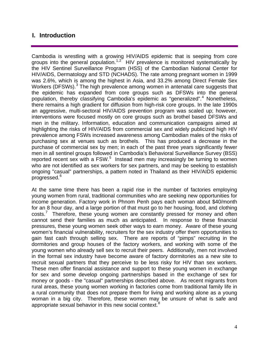### **I. Introduction**

Cambodia is wrestling with a growing HIV/AIDS epidemic that is seeping from core groups into the general population.<sup>[1,](#page-36-0)[2](#page-36-1)</sup> HIV prevalence is monitored systematically by the HIV Sentinel Surveillance Program (HSS) of the Cambodian National Center for HIV/AIDS, Dermatology and STD (NCHADS). The rate among pregnant women in 1999 was 2.6%, which is among the highest in Asia, and 33.2% among Direct Female Sex Workers (DFSWs).<sup>[3](#page-36-1)</sup> The high prevalence among women in antenatal care suggests that the epidemic has expanded from core groups such as DFSWs into the general population, thereby classifying Cambodia's epidemic as "generalized".<sup>[4](#page-36-1)</sup> Nonetheless, there remains a high gradient for diffusion from high-risk core groups. In the late 1990s an aggressive, multi-sectoral HIV/AIDS prevention program was scaled up; however, interventions were focused mostly on core groups such as brothel based DFSWs and men in the military. Information, education and communication campaigns aimed at highlighting the risks of HIV/AIDS from commercial sex and widely publicized high HIV prevalence among FSWs increased awareness among Cambodian males of the risks of purchasing sex at venues such as brothels. This has produced a decrease in the purchase of commercial sex by men; in each of the past three years significantly fewer men in all sentinel groups followed in Cambodia's Behavioral Surveillance Survey (BSS) reported recent sex with a FSW. $5$  Instead men may increasingly be turning to women who are not identified as sex workers for sex partners, and may be seeking to establish ongoing "casual" partnerships, a pattern noted in Thailand as their HIV/AIDS epidemic progressed.<sup>[6](#page-36-1)</sup>

At the same time there has been a rapid rise in the number of factories employing young women from rural, traditional communities who are seeking new opportunities for income generation. Factory work in Phnom Penh pays each woman about \$40/month for an 8 hour day, and a large portion of that must go to her housing, food, and clothing costs.<sup>[7](#page-36-1)</sup> Therefore, these young women are constantly pressed for money and often cannot send their families as much as anticipated. In response to these financial pressures, these young women seek other ways to earn money. Aware of these young women's financial vulnerability, recruiters for the sex industry offer them opportunities to gain fast cash through selling sex. There are reports of "pimps" recruiting in the dormitories and group houses of the factory workers, and working with some of the young women who already sell sex to recruit their peers. Additionally, men not involved in the formal sex industry have become aware of factory dormitories as a new site to recruit sexual partners that they perceive to be less risky for HIV than sex workers. These men offer financial assistance and support to these young women in exchange for sex and some develop ongoing partnerships based in the exchange of sex for money or goods - the "casual" partnerships described above. As recent migrants from rural areas, these young women working in factories come from traditional family life in a rural community that does not prepare them for living and working alone as a young woman in a big city. Therefore, these women may be unsure of what is safe and appropriate sexual behavior in this new social context.<sup>[8](#page-36-1)</sup>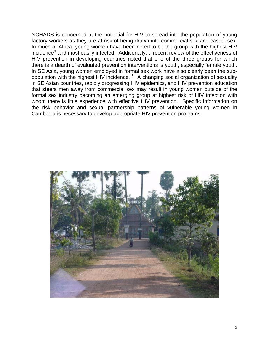NCHADS is concerned at the potential for HIV to spread into the population of young factory workers as they are at risk of being drawn into commercial sex and casual sex. In much of Africa, young women have been noted to be the group with the highest HIV incidence<sup>[9](#page-36-1)</sup> and most easily infected. Additionally, a recent review of the effectiveness of HIV prevention in developing countries noted that one of the three groups for which there is a dearth of evaluated prevention interventions is youth, especially female youth. In SE Asia, young women employed in formal sex work have also clearly been the subpopulation with the highest HIV incidence.[10](#page-36-1) A changing social organization of sexuality in SE Asian countries, rapidly progressing HIV epidemics, and HIV prevention education that steers men away from commercial sex may result in young women outside of the formal sex industry becoming an emerging group at highest risk of HIV infection with whom there is little experience with effective HIV prevention. Specific information on the risk behavior and sexual partnership patterns of vulnerable young women in Cambodia is necessary to develop appropriate HIV prevention programs.

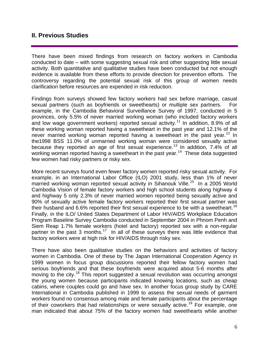### **II. Previous Studies**

There have been mixed findings from research on factory workers in Cambodia conducted to date – with some suggesting sexual risk and other suggesting little sexual activity. Both quantitative and qualitative studies have been conducted but not enough evidence is available from these efforts to provide direction for prevention efforts. The controversy regarding the potential sexual risk of this group of women needs clarification before resources are expended in risk reduction.

Findings from surveys showed few factory workers had sex before marriage, casual sexual partners (such as boyfriends or sweethearts) or multiple sex partners. For example, in the Cambodia Behavioral Surveillance Survey of 1997, conducted in 5 provinces, only 5.5% of never married working woman (who included factory workers and low wage government workers) reported sexual activity.<sup>[1](#page-36-1)1</sup> In addition, 8.9% of all these working woman reported having a sweetheart in the past year and 12.1% of the never married working woman reported having a sweetheart in the past year.<sup>[1](#page-36-1)2</sup> In the1998 BSS 11.0% of unmarried working woman were considered sexually active because they reported an age of first sexual experience.<sup>[1](#page-36-1)3</sup> In addition, 7.4% of all working woman reported having a sweetheart in the past year.<sup>[1](#page-36-1)4</sup> These data suggested few women had risky partners or risky sex.

More recent surveys found even fewer factory women reported risky sexual activity. For example, in an International Labor Office (ILO) 2001 study, less than 1% of never married working woman reported sexual activity in Sihanouk Ville.<sup>[1](#page-36-1)5</sup> In a 2005 World Cambodia Vision of female factory workers and high school students along highway 4 and highway 5 only 2.3% of never married women reported being sexually active and 90% of sexually active female factory workers reported their first sexual partner was their husband and 6.6% reported their first sexual experience to be with a sweetheart.<sup>[16](#page-36-1)</sup> Finally, in the ILO/ United States Department of Labor HIV/AIDS Workplace Education Program Baseline Survey Cambodia conducted in September 2004 in Phnom Penh and Siem Reap 1.7% female workers (hotel and factory) reported sex with a non-regular partner in the past 3 months.<sup>[17](#page-36-1)</sup> In all of these surveys there was little evidence that factory workers were at high risk for HIV/AIDS through risky sex.

There have also been qualitative studies on the behaviors and activities of factory women in Cambodia. One of these by The Japan International Cooperation Agency in 1999 women in focus group discussions reported their fellow factory women had serious boyfriends and that these boyfriends were acquired about 5-6 months after moving to the city.<sup>[18](#page-36-1)</sup> This report suggested a sexual revolution was occurring amongst the young women because participants indicated knowing locations, such as cheap cabins, where couples could go and have sex. In another focus group study by CARE International in Cambodia published in 1999 to assess the sexual needs of garment workers found no consensus among male and female participants about the percentage of their coworkers that had relationships or were sexually active.<sup>[1](#page-36-1)9</sup> For example, one man indicated that about 75% of the factory women had sweethearts while another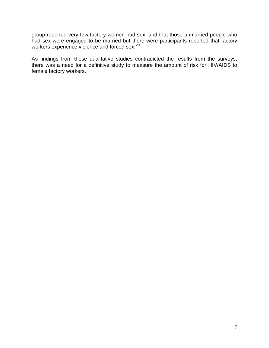group reported very few factory women had sex, and that those unmarried people who had sex were engaged to be married but there were participants reported that factory workers experience violence and forced sex.[20](#page-36-1)

As findings from these qualitative studies contradicted the results from the surveys, there was a need for a definitive study to measure the amount of risk for HIV/AIDS to female factory workers.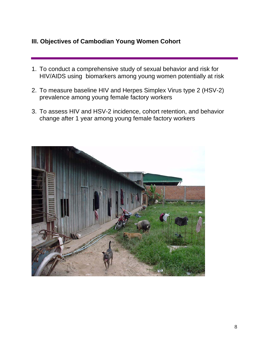## **III. Objectives of Cambodian Young Women Cohort**

- 1. To conduct a comprehensive study of sexual behavior and risk for HIV/AIDS using biomarkers among young women potentially at risk
- 2. To measure baseline HIV and Herpes Simplex Virus type 2 (HSV-2) prevalence among young female factory workers
- 3. To assess HIV and HSV-2 incidence, cohort retention, and behavior change after 1 year among young female factory workers

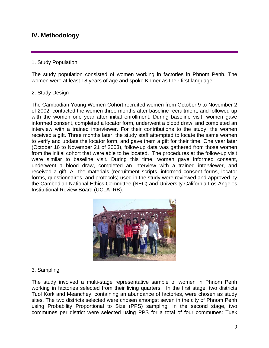## **IV. Methodology**

#### 1. Study Population

The study population consisted of women working in factories in Phnom Penh. The women were at least 18 years of age and spoke Khmer as their first language.

#### 2. Study Design

The Cambodian Young Women Cohort recruited women from October 9 to November 2 of 2002, contacted the women three months after baseline recruitment, and followed up with the women one year after initial enrollment. During baseline visit, women gave informed consent, completed a locator form, underwent a blood draw, and completed an interview with a trained interviewer. For their contributions to the study, the women received a gift. Three months later, the study staff attempted to locate the same women to verify and update the locator form, and gave them a gift for their time. One year later (October 16 to November 21 of 2003), follow-up data was gathered from those women from the initial cohort that were able to be located. The procedures at the follow-up visit were similar to baseline visit. During this time, women gave informed consent, underwent a blood draw, completed an interview with a trained interviewer, and received a gift. All the materials (recruitment scripts, informed consent forms, locator forms, questionnaires, and protocols) used in the study were reviewed and approved by the Cambodian National Ethics Committee (NEC) and University California Los Angeles Institutional Review Board (UCLA IRB).



#### 3. Sampling

The study involved a multi-stage representative sample of women in Phnom Penh working in factories selected from their living quarters. In the first stage, two districts Tuol Kork and Meanchey, containing an abundance of factories, were chosen as study sites. The two districts selected were chosen amongst seven in the city of Phnom Penh using Probability Proportional to Size (PPS) sampling. In the second stage, two communes per district were selected using PPS for a total of four communes: Tuek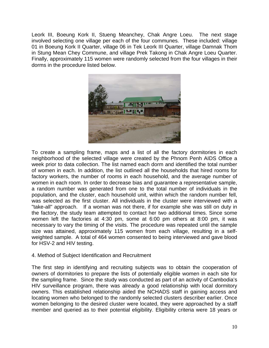Leork III, Boeung Kork II, Stueng Meanchey, Chak Angre Loeu. The next stage involved selecting one village per each of the four communes. These included: village 01 in Boeung Kork II Quarter, village 06 in Tek Leork III Quarter, village Damnak Thom in Stung Mean Chey Commune, and village Prek Takong in Chak Angre Loeu Quarter. Finally, approximately 115 women were randomly selected from the four villages in their dorms in the procedure listed below.



To create a sampling frame, maps and a list of all the factory dormitories in each neighborhood of the selected village were created by the Phnom Penh AIDS Office a week prior to data collection. The list named each dorm and identified the total number of women in each. In addition, the list outlined all the households that hired rooms for factory workers, the number of rooms in each household, and the average number of women in each room. In order to decrease bias and guarantee a representative sample, a random number was generated from one to the total number of individuals in the population, and the cluster, each household unit, within which the random number fell, was selected as the first cluster. All individuals in the cluster were interviewed with a "take-all" approach. If a woman was not there, if for example she was still on duty in the factory, the study team attempted to contact her two additional times. Since some women left the factories at 4:30 pm, some at 6:00 pm others at 8:00 pm, it was necessary to vary the timing of the visits. The procedure was repeated until the sample size was attained, approximately 115 women from each village, resulting in a selfweighted sample. A total of 464 women consented to being interviewed and gave blood for HSV-2 and HIV testing.

#### 4. Method of Subject Identification and Recruitment

The first step in identifying and recruiting subjects was to obtain the cooperation of owners of dormitories to prepare the lists of potentially eligible women in each site for the sampling frame. Since the study was conducted as part of an activity of Cambodia's HIV surveillance program, there was already a good relationship with local dormitory owners. This established relationship aided the NCHADS staff in gaining access and locating women who belonged to the randomly selected clusters describer earlier. Once women belonging to the desired cluster were located, they were approached by a staff member and queried as to their potential eligibility. Eligibility criteria were 18 years or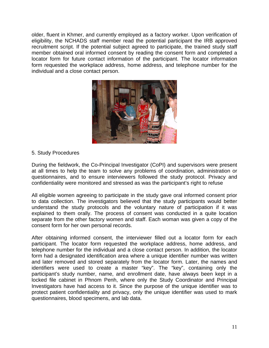older, fluent in Khmer, and currently employed as a factory worker. Upon verification of eligibility, the NCHADS staff member read the potential participant the IRB approved recruitment script. If the potential subject agreed to participate, the trained study staff member obtained oral informed consent by reading the consent form and completed a locator form for future contact information of the participant. The locator information form requested the workplace address, home address, and telephone number for the individual and a close contact person.



#### 5. Study Procedures

During the fieldwork, the Co-Principal Investigator (CoPI) and supervisors were present at all times to help the team to solve any problems of coordination, administration or questionnaires, and to ensure interviewers followed the study protocol. Privacy and confidentiality were monitored and stressed as was the participant's right to refuse

All eligible women agreeing to participate in the study gave oral informed consent prior to data collection. The investigators believed that the study participants would better understand the study protocols and the voluntary nature of participation if it was explained to them orally. The process of consent was conducted in a quite location separate from the other factory women and staff. Each woman was given a copy of the consent form for her own personal records.

After obtaining informed consent, the interviewer filled out a locator form for each participant. The locator form requested the workplace address, home address, and telephone number for the individual and a close contact person. In addition, the locator form had a designated identification area where a unique identifier number was written and later removed and stored separately from the locator form. Later, the names and identifiers were used to create a master "key". The "key", containing only the participant's study number, name, and enrollment date, have always been kept in a locked file cabinet in Phnom Penh, where only the Study Coordinator and Principal Investigators have had access to it. Since the purpose of the unique identifier was to protect patient confidentiality and privacy, only the unique identifier was used to mark questionnaires, blood specimens, and lab data.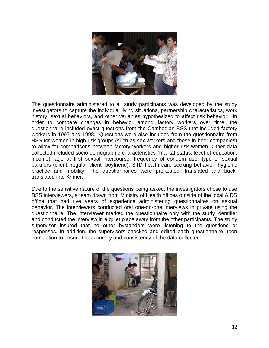

The questionnaire administered to all study participants was developed by the study investigators to capture the individual living situations, partnership characteristics, work history, sexual behaviors, and other variables hypothesized to affect risk behavior. In order to compare changes in behavior among factory workers over time, the questionnaire included exact questions from the Cambodian BSS that included factory workers in 1997 and 1998. Questions were also included from the questionnaire from BSS for women in high risk groups (such as sex workers and those in beer companies) to allow for comparisons between factory workers and higher risk women. Other data collected included socio-demographic characteristics (marital status, level of education, income), age at first sexual intercourse, frequency of condom use, type of sexual partners (client, regular client, boyfriend), STD health care seeking behavior, hygienic practice and mobility. The questionnaires were pre-tested, translated and backtranslated into Khmer.

Due to the sensitive nature of the questions being asked, the investigators chose to use BSS interviewers, a team drawn from Ministry of Health offices outside of the local AIDS office that had five years of experience administering questionnaires on sexual behavior. The interviewers conducted oral one-on-one interviews in private using the questionnaire. The interviewer marked the questionnaire only with the study identifier and conducted the interview in a quiet place away from the other participants. The study supervisor insured that no other bystanders were listening to the questions or responses. In addition, the supervisors checked and edited each questionnaire upon completion to ensure the accuracy and consistency of the data collected.

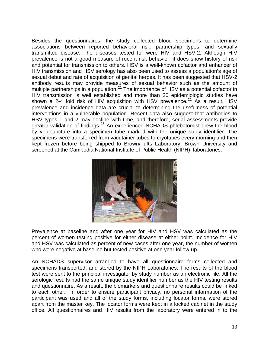Besides the questionnaires, the study collected blood specimens to determine associations between reported behavioral risk, partnership types, and sexually transmitted disease. The diseases tested for were HIV and HSV-2. Although HIV prevalence is not a good measure of recent risk behavior, it does show history of risk and potential for transmission to others. HSV is a well-known cofactor and enhancer of HIV transmission and HSV serology has also been used to assess a population's age of sexual debut and rate of acquisition of genital herpes. It has been suggested that HSV-2 antibody results may provide measures of sexual behavior such as the amount of multiple partnerships in a population.<sup>[21](#page-36-1)</sup> The importance of HSV as a potential cofactor in HIV transmission is well established and more than 30 epidemiologic studies have shown a [2](#page-36-1)-4 fold risk of HIV acquisition with HSV prevalence.<sup>22</sup> As a result, HSV prevalence and incidence data are crucial to determining the usefulness of potential interventions in a vulnerable population. Recent data also suggest that antibodies to HSV types 1 and 2 may decline with time, and therefore, serial assessments provide greater validation of findings.<sup>[23](#page-36-1)</sup> An experienced NCHADS phlebotomist drew the blood by venipuncture into a specimen tube marked with the unique study identifier. The specimens were transferred from vacutainer tubes to cryotubes every morning and then kept frozen before being shipped to Brown/Tufts Laboratory, Brown University and screened at the Cambodia National Institute of Public Health (NIPH) laboratories.



Prevalence at baseline and after one year for HIV and HSV was calculated as the percent of women testing positive for either disease at either point. Incidence for HIV and HSV was calculated as percent of new cases after one year, the number of women who were negative at baseline but tested positive at one year follow-up.

An NCHADS supervisor arranged to have all questionnaire forms collected and specimens transported, and stored by the NIPH Laboratories. The results of the blood test were sent to the principal investigator by study number as an electronic file. All the serologic results had the same unique study identifier number as the HIV testing results and questionnaire. As a result, the biomarkers and questionnaire results could be linked to each other. In order to ensure participant privacy, no personal information of the participant was used and all of the study forms, including locator forms, were stored apart from the master key. The locator forms were kept in a locked cabinet in the study office. All questionnaires and HIV results from the laboratory were entered in to the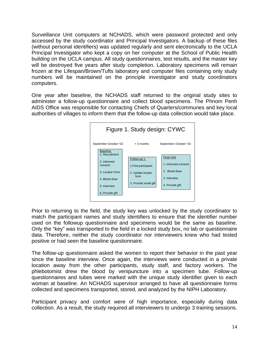Surveillance Unit computers at NCHADS, which were password protected and only accessed by the study coordinator and Principal Investigators. A backup of these files (without personal identifiers) was updated regularly and sent electronically to the UCLA Principal Investigator who kept a copy on her computer at the School of Public Health building on the UCLA campus. All study questionnaires, test results, and the master key will be destroyed five years after study completion. Laboratory specimens will remain frozen at the Lifespan/Brown/Tufts laboratory and computer files containing only study numbers will be maintained on the principle investigator and study coordinators computers.

One year after baseline, the NCHADS staff returned to the original study sites to administer a follow-up questionnaire and collect blood specimens. The Phnom Penh AIDS Office was responsible for contacting Chiefs of Quarters/communes and key local authorities of villages to inform them that the follow-up data collection would take place.



Prior to returning to the field, the study key was unlocked by the study coordinator to match the participant names and study identifiers to ensure that the identifier number used on the followup questionnaire and specimens would be the same as baseline. Only the "key" was transported to the field in a locked study box, no lab or questionnaire data. Therefore, neither the study coordinator nor interviewers knew who had tested positive or had seen the baseline questionnaire.

The follow-up questionnaire asked the women to report their behavior in the past year since the baseline interview. Once again, the interviews were conducted in a private location away from the other participants, study staff, and factory workers. The phlebotomist drew the blood by venipuncture into a specimen tube. Follow-up questionnaires and tubes were marked with the unique study identifier given to each woman at baseline. An NCHADS supervisor arranged to have all questionnaire forms collected and specimens transported, stored, and analyzed by the NIPH Laboratory.

Participant privacy and comfort were of high importance, especially during data collection. As a result, the study required all interviewers to undergo 3 training sessions.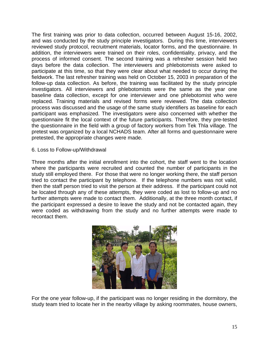The first training was prior to data collection, occurred between August 15-16, 2002, and was conducted by the study principle investigators. During this time, interviewers reviewed study protocol, recruitment materials, locator forms, and the questionnaire. In addition, the interviewers were trained on their roles, confidentiality, privacy, and the process of informed consent. The second training was a refresher session held two days before the data collection. The interviewers and phlebotomists were asked to participate at this time, so that they were clear about what needed to occur during the fieldwork. The last refresher training was held on October 15, 2003 in preparation of the follow-up data collection. As before, the training was facilitated by the study principle investigators. All interviewers and phlebotomists were the same as the year one baseline data collection, except for one interviewer and one phlebotomist who were replaced. Training materials and revised forms were reviewed. The data collection process was discussed and the usage of the same study identifiers as baseline for each participant was emphasized. The investigators were also concerned with whether the questionnaire fit the local context of the future participants. Therefore, they pre-tested the questionnaire in the field with a group of factory workers from Tek Thla village. The pretest was organized by a local NCHADS team. After all forms and questionnaire were pretested, the appropriate changes were made.

6. Loss to Follow-up/Withdrawal

Three months after the initial enrollment into the cohort, the staff went to the location where the participants were recruited and counted the number of participants in the study still employed there. For those that were no longer working there, the staff person tried to contact the participant by telephone. If the telephone numbers was not valid, then the staff person tried to visit the person at their address. If the participant could not be located through any of these attempts, they were coded as lost to follow-up and no further attempts were made to contact them. Additionally, at the three month contact, if the participant expressed a desire to leave the study and not be contacted again, they were coded as withdrawing from the study and no further attempts were made to recontact them.



For the one year follow-up, if the participant was no longer residing in the dormitory, the study team tried to locate her in the nearby village by asking roommates, house owners,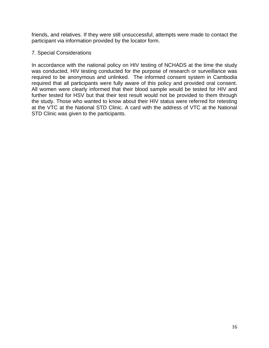friends, and relatives. If they were still unsuccessful, attempts were made to contact the participant via information provided by the locator form.

#### 7. Special Considerations

In accordance with the national policy on HIV testing of NCHADS at the time the study was conducted, HIV testing conducted for the purpose of research or surveillance was required to be anonymous and unlinked. The informed consent system in Cambodia required that all participants were fully aware of this policy and provided oral consent. All women were clearly informed that their blood sample would be tested for HIV and further tested for HSV but that their test result would not be provided to them through the study. Those who wanted to know about their HIV status were referred for retesting at the VTC at the National STD Clinic. A card with the address of VTC at the National STD Clinic was given to the participants.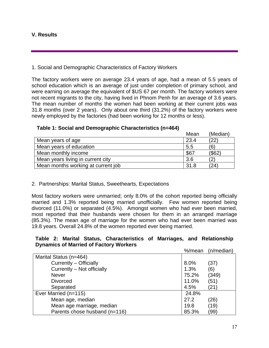#### **V. Results**

#### 1. Social and Demographic Characteristics of Factory Workers

The factory workers were on average 23.4 years of age, had a mean of 5.5 years of school education which is an average of just under completion of primary school, and were earning on average the equivalent of \$US 67 per month. The factory workers were not recent migrants to the city, having lived in Phnom Penh for an average of 3.6 years. The mean number of months the women had been working at their current jobs was 31.8 months (over 2 years). Only about one third (31.2%) of the factory workers were newly employed by the factories (had been working for 12 months or less).

|                                    | Mean | (Median) |
|------------------------------------|------|----------|
| Mean years of age                  | 23.4 | (22)     |
| Mean years of education            | 5.5  | (6)      |
| Mean monthly income                | \$67 | (\$62)   |
| Mean years living in current city  | 3.6  | (2       |
| Mean months working at current job | 31.8 | (24)     |

#### **Table 1: Social and Demographic Characteristics (n=464)**

#### 2. Partnerships: Marital Status, Sweethearts, Expectations

Most factory workers were unmarried; only 8.0% of the cohort reported being officially married and 1.3% reported being married unofficially. Few women reported being divorced (11.0%) or separated (4.5%). Amongst women who had ever been married, most reported that their husbands were chosen for them in an arranged marriage (85.3%). The mean age of marriage for the women who had ever been married was 19.8 years. Overall 24.8% of the women reported ever being married.

#### **Table 2: Marital Status, Characteristics of Marriages, and Relationship Dynamics of Married of Factory Workers**

|                               | %/mean | $(n/m$ edian $)$ |
|-------------------------------|--------|------------------|
| Marital Status (n=464)        |        |                  |
| Currently - Officially        | 8.0%   | (37)             |
| Currently - Not officially    | 1.3%   | (6)              |
| <b>Never</b>                  | 75.2%  | (349)            |
| <b>Divorced</b>               | 11.0%  | (51)             |
| Separated                     | 4.5%   | (21`             |
| Ever Married (n=115)          | 24.8%  |                  |
| Mean age, median              | 27.2   | (26)             |
| Mean age marriage, median     | 19.8   | (19)             |
| Parents chose husband (n=116) | 85.3%  | (99)             |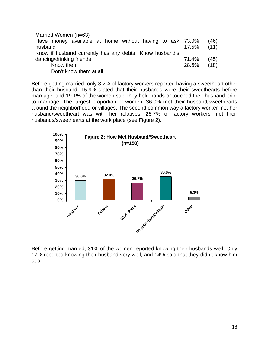| Married Women (n=63)                                       |                |      |
|------------------------------------------------------------|----------------|------|
| Have money available at home without having to ask   73.0% |                | (46) |
| husband                                                    | $17.5\%$ (11)  |      |
| Know if husband currently has any debts Know husband's     |                |      |
| dancing/drinking friends                                   | 71.4%          | (45) |
| Know them                                                  | $128.6\%$ (18) |      |
| Don't know them at all                                     |                |      |

Before getting married, only 3.2% of factory workers reported having a sweetheart other than their husband, 15.9% stated that their husbands were their sweethearts before marriage, and 19.1% of the women said they held hands or touched their husband prior to marriage. The largest proportion of women, 36.0% met their husband/sweethearts around the neighborhood or villages. The second common way a factory worker met her husband/sweetheart was with her relatives. 26.7% of factory workers met their husbands/sweethearts at the work place (see Figure 2).



Before getting married, 31% of the women reported knowing their husbands well. Only 17% reported knowing their husband very well, and 14% said that they didn't know him at all.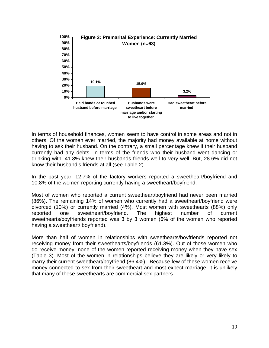

In terms of household finances, women seem to have control in some areas and not in others. Of the women ever married, the majority had money available at home without having to ask their husband. On the contrary, a small percentage knew if their husband currently had any debts. In terms of the friends who their husband went dancing or drinking with, 41.3% knew their husbands friends well to very well. But, 28.6% did not know their husband's friends at all (see Table 2).

In the past year, 12.7% of the factory workers reported a sweetheart/boyfriend and 10.8% of the women reporting currently having a sweetheart/boyfriend.

Most of women who reported a current sweetheart/boyfriend had never been married (86%). The remaining 14% of women who currently had a sweetheart/boyfriend were divorced (10%) or currently married (4%). Most women with sweethearts (88%) only reported one sweetheart/boyfriend. The highest number of current sweethearts/boyfriends reported was 3 by 3 women (6% of the women who reported having a sweetheart/ boyfriend).

More than half of women in relationships with sweethearts/boyfriends reported not receiving money from their sweethearts/boyfriends (61.3%). Out of those women who do receive money, none of the women reported receiving money when they have sex (Table 3). Most of the women in relationships believe they are likely or very likely to marry their current sweetheart/boyfriend (86.4%). Because few of these women receive money connected to sex from their sweetheart and most expect marriage, it is unlikely that many of these sweethearts are commercial sex partners.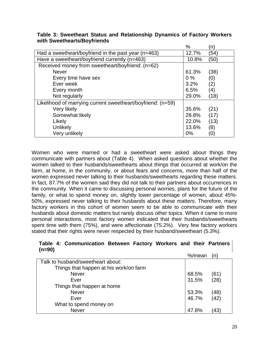|                                                             | $\%$  | (n)  |
|-------------------------------------------------------------|-------|------|
| Had a sweetheart/boyfriend in the past year (n=463)         | 12.7% | (54) |
| Have a sweetheart/boyfriend currently (n=463)               | 10.8% | (50) |
| Received money from sweetheart/boyfriend: (n=62)            |       |      |
| <b>Never</b>                                                | 61.3% | (38) |
| Every time have sex                                         | $0\%$ | (0)  |
| Ever week                                                   | 3.2%  | (2)  |
| Every month                                                 | 6.5%  | (4)  |
| Not regularly                                               | 29.0% | (18) |
| Likelihood of marrying current sweetheart/boyfriend: (n=59) |       |      |
| Very likely                                                 | 35.6% | (21) |
| Somewhat likely                                             | 28.8% | (17) |
| Likely                                                      | 22.0% | (13) |
| Unlikely                                                    | 13.6% | (8)  |
| Very unlikely                                               | $0\%$ | (0)  |

#### **Table 3: Sweetheart Status and Relationship Dynamics of Factory Workers with Sweethearts/Boyfriends**

Women who were married or had a sweetheart were asked about things they communicate with partners about (Table 4). When asked questions about whether the women talked to their husbands/sweethearts about things that occurred at work/on the farm, at home, in the community, or about fears and concerns, more than half of the women expressed never talking to their husbands/sweethearts regarding these matters. In fact, 87.7% of the women said they did not talk to their partners about occurrences in the community. When it came to discussing personal worries, plans for the future of the family, or what to spend money on, slightly lower percentage of women, about 45%- 50%, expressed never talking to their husbands about these matters. Therefore, many factory workers in this cohort of women seem to be able to communicate with their husbands about domestic matters but rarely discuss other topics. When it came to more personal interactions, most factory women indicated that their husbands/sweethearts spent time with them (75%), and were affectionate (75.2%). Very few factory workers stated that their rights were never respected by their husband/sweetheart (5.3%).

#### **Table 4: Communication Between Factory Workers and their Partners (n=90)**

|                                        | %/mean |                  |
|----------------------------------------|--------|------------------|
| Talk to husband/sweetheart about:      |        |                  |
| Things that happen at his work/on farm |        |                  |
| <b>Never</b>                           | 68.5%  | (61)             |
| Ever                                   | 31.5%  | (28)             |
| Things that happen at home             |        |                  |
| <b>Never</b>                           | 53.3%  |                  |
| Ever                                   | 46.7%  | $(48)$<br>$(42)$ |
| What to spend money on                 |        |                  |
| <b>Never</b>                           | 47.8%  | (43)             |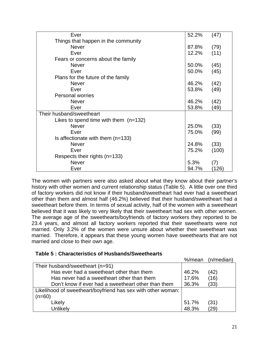| Ever                                    | 52.2% | (47)  |
|-----------------------------------------|-------|-------|
| Things that happen in the community     |       |       |
| <b>Never</b>                            | 87.8% | (79)  |
| Ever                                    | 12.2% | (11)  |
| Fears or concerns about the family      |       |       |
| <b>Never</b>                            | 50.0% | (45)  |
| Ever                                    | 50.0% | (45)  |
| Plans for the future of the family      |       |       |
| <b>Never</b>                            | 46.2% | (42)  |
| Ever                                    | 53.8% | (49)  |
| <b>Personal worries</b>                 |       |       |
| <b>Never</b>                            | 46.2% | (42)  |
| Ever                                    | 53.8% | (49)  |
| Their husband/sweetheart                |       |       |
| Likes to spend time with them $(n=132)$ |       |       |
| <b>Never</b>                            | 25.0% | (33)  |
| Ever                                    | 75.0% | (99)  |
| Is affectionate with them $(n=133)$     |       |       |
| <b>Never</b>                            | 24.8% | (33)  |
| Ever                                    | 75.2% | (100) |
| Respects their rights (n=133)           |       |       |
| <b>Never</b>                            | 5.3%  | (7)   |
| Ever                                    | 94.7% | (126) |

The women with partners were also asked about what they know about their partner's history with other women and current relationship status (Table 5). A little over one third of factory workers did not know if their husband/sweetheart had ever had a sweetheart other than them and almost half (46.2%) believed that their husband/sweetheart had a sweetheart before them. In terms of sexual activity, half of the women with a sweetheart believed that it was likely to very likely that their sweetheart had sex with other women. The average age of the sweethearts/boyfriends of factory workers they reported to be 23.4 years, and almost all factory workers reported that their sweethearts were not married. Only 3.2% of the women were unsure about whether their sweetheart was married. Therefore, it appears that these young women have sweethearts that are not married and close to their own age.

#### **Table 5 : Characteristics of Husbands/Sweethearts**

|                                                              | %/mean | (n/median) |
|--------------------------------------------------------------|--------|------------|
| Their husband/sweetheart (n=91)                              |        |            |
| Has ever had a sweetheart other than them                    | 46.2%  | (42)       |
| Has never had a sweetheart other than them                   | 17.6%  | (16)       |
| Don't know if ever had a sweetheart other than them          | 36.3%  | (33)       |
| Likelihood of sweetheart/boyfriend has sex with other woman: |        |            |
| $(n=60)$                                                     |        |            |
| Likely                                                       | 51.7%  | (31)       |
| Unlikely                                                     | 48.3%  | (29)       |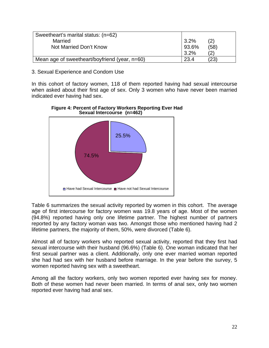| Sweetheart's marital status: (n=62)           |       |      |
|-----------------------------------------------|-------|------|
| Married                                       | 3.2%  | (2)  |
| Not Married Don't Know                        | 93.6% | (58) |
|                                               | 3.2%  |      |
| Mean age of sweetheart/boyfriend (year, n=60) | 23.4  | (23) |

#### 3. Sexual Experience and Condom Use

In this cohort of factory women, 118 of them reported having had sexual intercourse when asked about their first age of sex. Only 3 women who have never been married indicated ever having had sex.



#### **Figure 4: Percent of Factory Workers Reporting Ever Had Sexual Intercourse (n=462)**

Table 6 summarizes the sexual activity reported by women in this cohort. The average age of first intercourse for factory women was 19.8 years of age. Most of the women (94.8%) reported having only one lifetime partner. The highest number of partners reported by any factory woman was two. Amongst those who mentioned having had 2 lifetime partners, the majority of them, 50%, were divorced (Table 6).

Almost all of factory workers who reported sexual activity, reported that they first had sexual intercourse with their husband (96.6%) (Table 6). One woman indicated that her first sexual partner was a client. Additionally, only one ever married woman reported she had had sex with her husband before marriage. In the year before the survey, 5 women reported having sex with a sweetheart.

Among all the factory workers, only two women reported ever having sex for money. Both of these women had never been married. In terms of anal sex, only two women reported ever having had anal sex.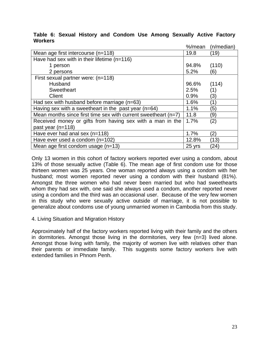#### **Table 6: Sexual History and Condom Use Among Sexually Active Factory Workers**

|                                                                  | %/mean | $(n/m$ edian $)$ |
|------------------------------------------------------------------|--------|------------------|
| Mean age first intercourse (n=118)                               | 19.8   | (19)             |
| Have had sex with in their lifetime $(n=116)$                    |        |                  |
| 1 person                                                         | 94.8%  | (110)            |
| 2 persons                                                        | 5.2%   | (6)              |
| First sexual partner were: (n=118)                               |        |                  |
| Husband                                                          | 96.6%  | (114)            |
| Sweetheart                                                       | 2.5%   | (1)              |
| Client                                                           | 0.9%   | (3)              |
| Had sex with husband before marriage (n=63)                      | 1.6%   | (1)              |
| Having sex with a sweetheart in the past year ( $n=64$ )         | 1.1%   | (5)              |
| Mean months since first time sex with current sweetheart $(n=7)$ | 11.8   | (9)              |
| Received money or gifts from having sex with a man in the        | 1.7%   | (2)              |
| past year $(n=118)$                                              |        |                  |
| Have ever had anal sex $(n=118)$                                 | 1.7%   | (2)              |
| Have ever used a condom (n=102)                                  | 12.8%  | (13)             |
| Mean age first condom usage $(n=13)$                             | 25 yrs | (24)             |

Only 13 women in this cohort of factory workers reported ever using a condom, about 13% of those sexually active (Table 6). The mean age of first condom use for those thirteen women was 25 years. One woman reported always using a condom with her husband; most women reported never using a condom with their husband (81%). Amongst the three women who had never been married but who had sweethearts whom they had sex with, one said she always used a condom, another reported never using a condom and the third was an occasional user. Because of the very few women in this study who were sexually active outside of marriage, it is not possible to generalize about condoms use of young unmarried women in Cambodia from this study.

#### 4. Living Situation and Migration History

Approximately half of the factory workers reported living with their family and the others in dormitories. Amongst those living in the dormitories, very few (n=3) lived alone. Amongst those living with family, the majority of women live with relatives other than their parents or immediate family. This suggests some factory workers live with extended families in Phnom Penh.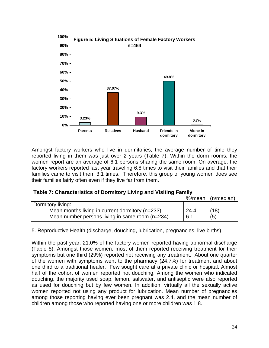

Amongst factory workers who live in dormitories, the average number of time they reported living in them was just over 2 years (Table 7). Within the dorm rooms, the women report are an average of 6.1 persons sharing the same room. On average, the factory workers reported last year traveling 6.8 times to visit their families and that their families came to visit them 3.1 times. Therefore, this group of young women does see their families fairly often even if they live far from them.

| Table 7: Characteristics of Dormitory Living and Visiting Family |  |  |  |
|------------------------------------------------------------------|--|--|--|
|------------------------------------------------------------------|--|--|--|

|                                                 | %/mean | $(n/m$ edian $)$ |
|-------------------------------------------------|--------|------------------|
| Dormitory living:                               |        |                  |
| Mean months living in current dormitory (n=233) | 24.4   | (18)             |
| Mean number persons living in same room (n=234) | 6.1    | (5)              |
|                                                 |        |                  |

5. Reproductive Health (discharge, douching, lubrication, pregnancies, live births)

Within the past year, 21.0% of the factory women reported having abnormal discharge (Table 8). Amongst those women, most of them reported receiving treatment for their symptoms but one third (29%) reported not receiving any treatment. About one quarter of the women with symptoms went to the pharmacy (24.7%) for treatment and about one third to a traditional healer. Few sought care at a private clinic or hospital. Almost half of the cohort of women reported not douching. Among the women who indicated douching, the majority used soap, lemon, saltwater, and antiseptic were also reported as used for douching but by few women. In addition, virtually all the sexually active women reported not using any product for lubrication. Mean number of pregnancies among those reporting having ever been pregnant was 2.4, and the mean number of children among those who reported having one or more children was 1.8.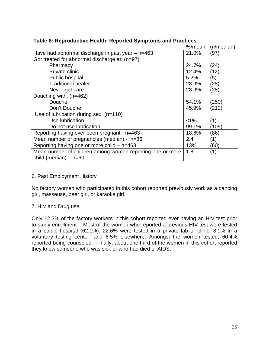|                                                           | %/mean  | (n/median) |
|-----------------------------------------------------------|---------|------------|
| Have had abnormal discharge in past year $-$ n=463        | 21.0%   | (97)       |
| Got treated for abnormal discharge at: (n=97)             |         |            |
| Pharmacy                                                  | 24.7%   | (24)       |
| Private clinic                                            | 12.4%   | (12)       |
| Public hospital                                           | 5.2%    | (5)        |
| <b>Traditional healer</b>                                 | 28.9%   | (28)       |
| Never get care                                            | 28.9%   | (28)       |
| Douching with: (n=462)                                    |         |            |
| Douche                                                    | 54.1%   | (250)      |
| Don't Douche                                              | 45.9%   | (212)      |
| Use of lubrication during sex (n=110)                     |         |            |
| Use lubrication                                           | $< 1\%$ | (1)        |
| Do not use lubrication                                    | 99.1%   | (109)      |
| Reporting having ever been pregnant - n=463               | 18.6%   | (86)       |
| Mean number of pregnancies (median) - $n=86$              | 2.4     | (1)        |
| Reporting having one or more child $-$ n=463              | 13%     | (60)       |
| Mean number of children among women reporting one or more | 1.8     | (1)        |
| child (median) $-$ n=60                                   |         |            |

#### **Table 8: Reproductive Health: Reported Symptoms and Practices**

#### 6. Past Employment History

No factory women who participated in this cohort reported previously work as a dancing girl, masseuse, beer girl, or karaoke girl.

#### 7. HIV and Drug use

Only 12.3% of the factory workers in this cohort reported ever having an HIV test prior to study enrollment. Most of the women who reported a previous HIV test were tested in a public hospital (62.1%). 22.6% were tested in a private lab or clinic, 8.1% in a voluntary testing center, and 6.5% elsewhere. Amongst the women tested, 60.4% reported being counseled. Finally, about one third of the women in this cohort reported they knew someone who was sick or who had died of AIDS.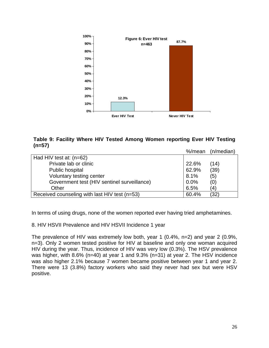

#### **Table 9: Facility Where HIV Tested Among Women reporting Ever HIV Testing (n=57)**

|                                               | %/mean | $(n/m$ edian $)$ |
|-----------------------------------------------|--------|------------------|
| Had HIV test at: $(n=62)$                     |        |                  |
| Private lab or clinic                         | 22.6%  | (14)             |
| Public hospital                               | 62.9%  | (39)             |
| Voluntary testing center                      | 8.1%   | (5)              |
| Government test (HIV sentinel surveillance)   | 0.0%   | (0)              |
| Other                                         | 6.5%   | (4)              |
| Received counseling with last HIV test (n=53) | 60.4%  | (32)             |

In terms of using drugs, none of the women reported ever having tried amphetamines.

8. HIV HSVII Prevalence and HIV HSVII Incidence 1 year

The prevalence of HIV was extremely low both, year 1 (0.4%, n=2) and year 2 (0.9%, n=3). Only 2 women tested positive for HIV at baseline and only one woman acquired HIV during the year. Thus, incidence of HIV was very low (0.3%). The HSV prevalence was higher, with 8.6% (n=40) at year 1 and 9.3% (n=31) at year 2. The HSV incidence was also higher 2.1% because 7 women became positive between year 1 and year 2. There were 13 (3.8%) factory workers who said they never had sex but were HSV positive.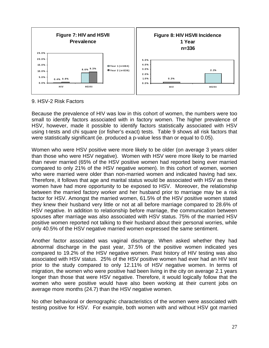

9. HSV-2 Risk Factors

Because the prevalence of HIV was low in this cohort of women, the numbers were too small to identify factors associated with in factory women. The higher prevalence of HSV, however, made it possible to identify factors statistically associated with HSV using t-tests and chi square (or fisher's exact) tests. Table 9 shows all risk factors that were statistically significant (ie. produced a p-value less than or equal to 0.05).

Women who were HSV positive were more likely to be older (on average 3 years older than those who were HSV negative). Women with HSV were more likely to be married than never married (65% of the HSV positive women had reported being ever married compared to only 21% of the HSV negative women). In this cohort of women, women who were married were older than non-married women and indicated having had sex. Therefore, it follows that age and marital status would be associated with HSV as these women have had more opportunity to be exposed to HSV. Moreover, the relationship between the married factory worker and her husband prior to marriage may be a risk factor for HSV. Amongst the married women, 61.5% of the HSV positive women stated they knew their husband very little or not at all before marriage compared to 28.6% of HSV negative. In addition to relationship before marriage, the communication between spouses after marriage was also associated with HSV status. 75% of the married HSV positive women reported not talking to their husband about their personal worries, while only 40.5% of the HSV negative married women expressed the same sentiment.

Another factor associated was vaginal discharge. When asked whether they had abnormal discharge in the past year, 37.5% of the positive women indicated yes compared to 19.2% of the HSV negative women. Past history of HIV testing was also associated with HSV status. 25% of the HSV positive women had ever had an HIV test prior to the study compared to only 12.11% of HSV negative women. In terms of migration, the women who were positive had been living in the city on average 2.1 years longer than those that were HSV negative. Therefore, it would logically follow that the women who were positive would have also been working at their current jobs on average more months (24.7) than the HSV negative women.

No other behavioral or demographic characteristics of the women were associated with testing positive for HSV. For example, both women with and without HSV got married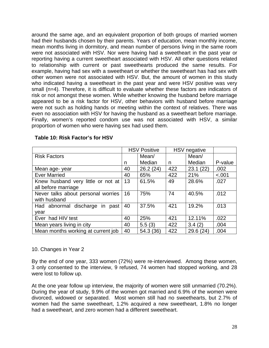around the same age, and an equivalent proportion of both groups of married women had their husbands chosen by their parents. Years of education, mean monthly income, mean months living in dormitory, and mean number of persons living in the same room were not associated with HSV. Nor were having had a sweetheart in the past year or reporting having a current sweetheart associated with HSV. All other questions related to relationship with current or past sweethearts produced the same results. For example, having had sex with a sweetheart or whether the sweetheart has had sex with other women were not associated with HSV. But, the amount of women in this study who indicated having a sweetheart in the past year and were HSV positive was very small (n=4). Therefore, it is difficult to evaluate whether these factors are indicators of risk or not amongst these women. While whether knowing the husband before marriage appeared to be a risk factor for HSV, other behaviors with husband before marriage were not such as holding hands or meeting within the context of relatives. There was even no association with HSV for having the husband as a sweetheart before marriage. Finally, women's reported condom use was not associated with HSV, a similar proportion of women who were having sex had used them.

|                                             | <b>HSV Positive</b> |           | <b>HSV</b> negative |          |         |
|---------------------------------------------|---------------------|-----------|---------------------|----------|---------|
| <b>Risk Factors</b>                         |                     | Mean/     |                     | Mean/    |         |
|                                             | n                   | Median    | n                   | Median   | P-value |
| Mean age-year                               | 40                  | 26.2(24)  | 422                 | 23.1(22) | .002    |
| <b>Ever Married</b>                         | 40                  | 65%       | 422                 | 21%      | < .001  |
| Knew husband very little or not at          | 13                  | 61.5%     | 49                  | 28.6%    | .027    |
| all before marriage                         |                     |           |                     |          |         |
| Never talks about personal worries          | 16                  | 75%       | 74                  | 40.5%    | .012    |
| with husband                                |                     |           |                     |          |         |
| Had abnormal discharge<br><i>in</i><br>past | 40                  | 37.5%     | 421                 | 19.2%    | .013    |
| year                                        |                     |           |                     |          |         |
| Ever had HIV test                           | 40                  | 25%       | 421                 | 12.11%   | .022    |
| Mean years living in city                   | 40                  | 5.5(3)    | 422                 | 3.4(2)   | .004    |
| Mean months working at current job          | 40                  | 54.3 (36) | 422                 | 29.6(24) | .004    |

#### **Table 10: Risk Factor's for HSV**

#### 10. Changes in Year 2

By the end of one year, 333 women (72%) were re-interviewed. Among these women, 3 only consented to the interview, 9 refused, 74 women had stopped working, and 28 were lost to follow up.

At the one year follow up interview, the majority of women were still unmarried (70.2%). During the year of study, 9.9% of the women got married and 6.9% of the women were divorced, widowed or separated. Most women still had no sweethearts, but 2.7% of women had the same sweetheart, 1.2% acquired a new sweetheart, 1.8% no longer had a sweetheart, and zero women had a different sweetheart.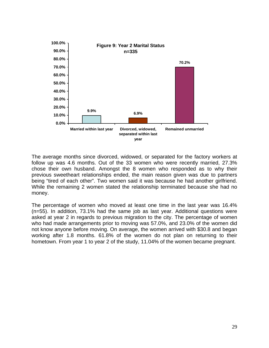

The average months since divorced, widowed, or separated for the factory workers at follow up was 4.6 months. Out of the 33 women who were recently married, 27.3% chose their own husband. Amongst the 8 women who responded as to why their previous sweetheart relationships ended, the main reason given was due to partners being "tired of each other". Two women said it was because he had another girlfriend. While the remaining 2 women stated the relationship terminated because she had no money.

The percentage of women who moved at least one time in the last year was 16.4% (n=55). In addition, 73.1% had the same job as last year. Additional questions were asked at year 2 in regards to previous migration to the city. The percentage of women who had made arrangements prior to moving was 57.0%, and 23.0% of the women did not know anyone before moving. On average, the women arrived with \$30.8 and began working after 1.8 months. 61.8% of the women do not plan on returning to their hometown. From year 1 to year 2 of the study, 11.04% of the women became pregnant.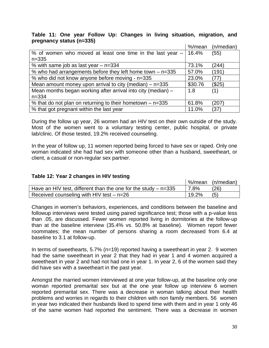#### **Table 11: One year Follow Up: Changes in living situation, migration, and pregnancy status (n=335)**

|                                                              | %/mean  | $(n/m$ edian $)$ |
|--------------------------------------------------------------|---------|------------------|
| % of women who moved at least one time in the last year $-$  | 16.4%   | (55)             |
| $n = 335$                                                    |         |                  |
| % with same job as last year $-$ n=334                       | 73.1%   | (244)            |
| % who had arrangements before they left home town $-$ n=335  | 57.0%   | (191)            |
| % who did not know anyone before moving - n=335              | 23.0%   | (77)             |
| Mean amount money upon arrival to city (median) $-$ n=335    | \$30.76 | (\$25)           |
| Mean months began working after arrival into city (median) - | 1.8     | (1)              |
| $n = 334$                                                    |         |                  |
| % that do not plan on returning to their hometown $-$ n=335  | 61.8%   | (207)            |
| % that got pregnant within the last year                     | 11.0%   | (37)             |

During the follow up year, 26 women had an HIV test on their own outside of the study. Most of the women went to a voluntary testing center, public hospital, or private lab/clinic. Of those tested, 19.2% received counseling.

In the year of follow up, 11 women reported being forced to have sex or raped. Only one woman indicated she had had sex with someone other than a husband, sweetheart, or client, a casual or non-regular sex partner.

#### **Table 12: Year 2 changes in HIV testing**

|                                                                  |       | V <sub>6</sub> /mean (n/median) |
|------------------------------------------------------------------|-------|---------------------------------|
| Have an HIV test, different than the one for the study $-$ n=335 | 7.8%  | (26)                            |
| Received counseling with HIV test $-$ n=26                       | 19.2% | (5)                             |

Changes in women's behaviors, experiences, and conditions between the baseline and followup interviews were tested using paired significance test; those with a p-value less than .05, are discussed. Fewer women reported living in dormitories at the follow-up than at the baseline interview (35.4% vs. 50.8% at baseline). Women report fewer roommates; the mean number of persons sharing a room decreased from 6.4 at baseline to 3.1 at follow-up.

In terms of sweethearts, 5.7% (n=19) reported having a sweetheart in year 2. 9 women had the same sweetheart in year 2 that they had in year 1 and 4 women acquired a sweetheart in year 2 and had not had one in year 1. In year 2, 6 of the women said they did have sex with a sweetheart in the past year.

Amongst the married women interviewed at one year follow-up, at the baseline only one woman reported premarital sex but at the one year follow up interview 6 women reported premarital sex. There was a decrease in woman talking about their health problems and worries in regards to their children with non family members. 56 women in year two indicated their husbands liked to spend time with them and in year 1 only 46 of the same women had reported the sentiment. There was a decrease in women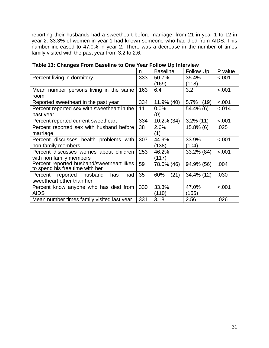reporting their husbands had a sweetheart before marriage, from 21 in year 1 to 12 in year 2. 33.3% of women in year 1 had known someone who had died from AIDS. This number increased to 47.0% in year 2. There was a decrease in the number of times family visited with the past year from 3.2 to 2.6.

|                                              | n   | <b>Baseline</b> | Follow Up    | P value |
|----------------------------------------------|-----|-----------------|--------------|---------|
| Percent living in dormitory                  | 333 | 50.7%           | 35.4%        | < .001  |
|                                              |     | (169)           | (118)        |         |
| Mean number persons living in the same       | 163 | 6.4             | 3.2          | < .001  |
| room                                         |     |                 |              |         |
| Reported sweetheart in the past year         | 334 | 11.9% (40)      | 5.7%<br>(19) | < .001  |
| Percent reported sex with sweetheart in the  | 11  | 0.0%            | 54.4% (6)    | $-.014$ |
| past year                                    |     | (0)             |              |         |
| Percent reported current sweetheart          | 334 | 10.2% (34)      | $3.2\%$ (11) | < .001  |
| Percent reported sex with husband before     | 38  | 2.6%            | $15.8\%$ (6) | .025    |
| marriage                                     |     | (1)             |              |         |
| Percent discusses health problems with       | 307 | 44.9%           | 33.9%        | < .001  |
| non-family members                           |     | (138)           | (104)        |         |
| Percent discusses worries about children     | 253 | 46.2%           | 33.2% (84)   | < .001  |
| with non family members                      |     | (117)           |              |         |
| Percent reported husband/sweetheart likes    | 59  | 78.0% (46)      | 94.9% (56)   | .004    |
| to spend his free time with her              |     |                 |              |         |
| husband<br>reported<br>had<br>Percent<br>has | 35  | (21)<br>60%     | 34.4% (12)   | .030    |
| sweetheart other than her                    |     |                 |              |         |
| Percent know anyone who has died from        | 330 | 33.3%           | 47.0%        | < .001  |
| <b>AIDS</b>                                  |     | (110)           | (155)        |         |
| Mean number times family visited last year   | 331 | 3.18            | 2.56         | .026    |

#### **Table 13: Changes From Baseline to One Year Follow Up Interview**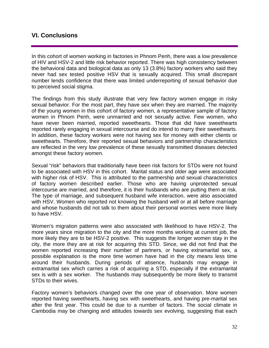### **VI. Conclusions**

In this cohort of women working in factories in Phnom Penh, there was a low prevalence of HIV and HSV-2 and little risk behavior reported. There was high consistency between the behavioral data and biological data as only 13 (3.8%) factory workers who said they never had sex tested positive HSV that is sexually acquired. This small discrepant number lends confidence that there was limited underreporting of sexual behavior due to perceived social stigma.

The findings from this study illustrate that very few factory women engage in risky sexual behavior. For the most part, they have sex when they are married. The majority of the young women in this cohort of factory women, a representative sample of factory women in Phnom Penh, were unmarried and not sexually active. Few women, who have never been married, reported sweethearts. Those that did have sweethearts reported rarely engaging in sexual intercourse and do intend to marry their sweethearts. In addition, these factory workers were not having sex for money with either clients or sweethearts. Therefore, their reported sexual behaviors and partnership characteristics are reflected in the very low prevalence of these sexually transmitted diseases detected amongst these factory women.

Sexual "risk" behaviors that traditionally have been risk factors for STDs were not found to be associated with HSV in this cohort. Marital status and older age were associated with higher risk of HSV. This is attributed to the partnership and sexual characteristics of factory women described earlier. Those who are having unprotected sexual intercourse are married, and therefore, it is their husbands who are putting them at risk. The type of marriage, and subsequent husband wife interaction, were also associated with HSV. Women who reported not knowing the husband well or at all before marriage and whose husbands did not talk to them about their personal worries were more likely to have HSV.

Women's migration patterns were also associated with likelihood to have HSV-2. The more years since migration to the city and the more months working at current job, the more likely they are to be HSV-2 positive. This suggests the longer women stay in the city, the more they are at risk for acquiring this STD. Since, we did not find that the women reported increasing their number of partners, or having extramarital sex, a possible explanation is the more time women have had in the city means less time around their husbands. During periods of absence, husbands may engage in extramarital sex which carries a risk of acquiring a STD, especially if the extramarital sex is with a sex worker. The husbands may subsequently be more likely to transmit STDs to their wives.

Factory women's behaviors changed over the one year of observation. More women reported having sweethearts, having sex with sweethearts, and having pre-marital sex after the first year. This could be due to a number of factors. The social climate in Cambodia may be changing and attitudes towards sex evolving, suggesting that each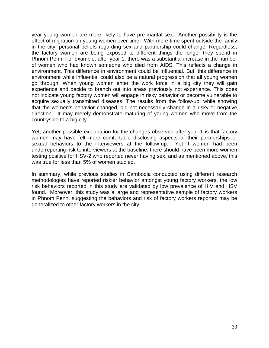year young women are more likely to have pre-marital sex. Another possibility is the effect of migration on young women over time. With more time spent outside the family in the city, personal beliefs regarding sex and partnership could change. Regardless, the factory women are being exposed to different things the longer they spend in Phnom Penh. For example, after year 1, there was a substantial increase in the number of women who had known someone who died from AIDS. This reflects a change in environment. This difference in environment could be influential. But, this difference in environment while influential could also be a natural progression that all young women go through. When young women enter the work force in a big city they will gain experience and decide to branch out into areas previously not experience. This does not indicate young factory women will engage in risky behavior or become vulnerable to acquire sexually transmitted diseases. The results from the follow-up, while showing that the women's behavior changed, did not necessarily change in a risky or negative direction. It may merely demonstrate maturing of young women who move from the countryside to a big city.

Yet, another possible explanation for the changes observed after year 1 is that factory women may have felt more comfortable disclosing aspects of their partnerships or sexual behaviors to the interviewers at the follow-up. Yet if women had been underreporting risk to interviewers at the baseline, there should have been more women testing positive for HSV-2 who reported never having sex, and as mentioned above, this was true for less than 5% of women studied.

In summary, while previous studies in Cambodia conducted using different research methodologies have reported riskier behavior amongst young factory workers, the low risk behaviors reported in this study are validated by low prevalence of HIV and HSV found. Moreover, this study was a large and representative sample of factory workers in Phnom Penh, suggesting the behaviors and risk of factory workers reported may be generalized to other factory workers in the city.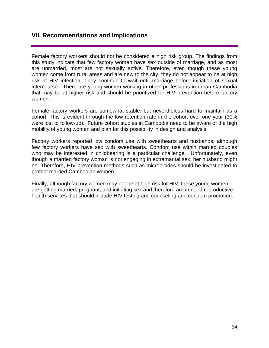### **VII. Recommendations and Implications**

Female factory workers should not be considered a high risk group. The findings from this study indicate that few factory women have sex outside of marriage, and as most are unmarried, most are not sexually active. Therefore, even though these young women come from rural areas and are new to the city, they do not appear to be at high risk of HIV infection. They continue to wait until marriage before initiation of sexual intercourse. There are young women working in other professions in urban Cambodia that may be at higher risk and should be prioritized for HIV prevention before factory women.

Female factory workers are somewhat stable, but nevertheless hard to maintain as a cohort. This is evident through the low retention rate in the cohort over one year (30% were lost to follow-up). Future cohort studies in Cambodia need to be aware of the high mobility of young women and plan for this possibility in design and analysis.

Factory workers reported low condom use with sweethearts and husbands, although few factory workers have sex with sweethearts. Condom use within married couples who may be interested in childbearing is a particular challenge. Unfortunately, even though a married factory woman is not engaging in extramarital sex, her husband might be. Therefore, HIV prevention methods such as microbicides should be investigated to protect married Cambodian women.

Finally, although factory women may not be at high risk for HIV, these young women are getting married, pregnant, and initiating sex and therefore are in need reproductive health services that should include HIV testing and counseling and condom promotion.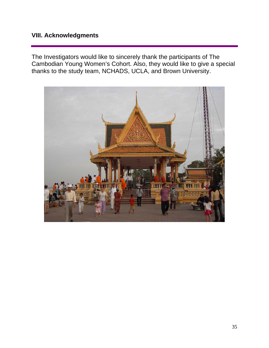## **VIII. Acknowledgments**

The Investigators would like to sincerely thank the participants of The Cambodian Young Women's Cohort. Also, they would like to give a special thanks to the study team, NCHADS, UCLA, and Brown University.